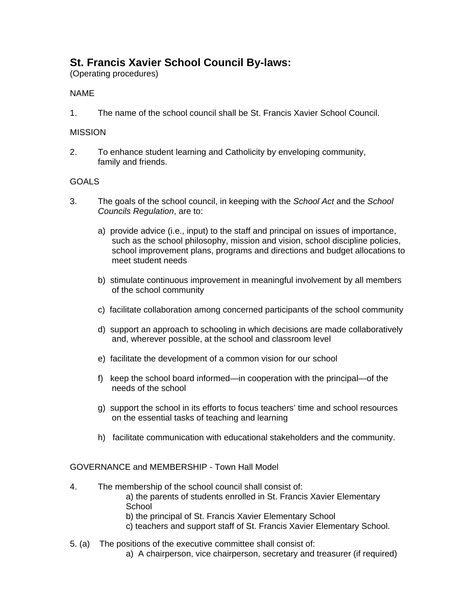# **St. Francis Xavier School Council By-laws:**

(Operating procedures)

# NAME

1. The name of the school council shall be St. Francis Xavier School Council.

# MISSION

2. To enhance student learning and Catholicity by enveloping community, family and friends.

# **GOALS**

- 3. The goals of the school council, in keeping with the *School Act* and the *School Councils Regulation*, are to:
	- a) provide advice (i.e., input) to the staff and principal on issues of importance, such as the school philosophy, mission and vision, school discipline policies, school improvement plans, programs and directions and budget allocations to meet student needs
	- b) stimulate continuous improvement in meaningful involvement by all members of the school community
	- c) facilitate collaboration among concerned participants of the school community
	- d) support an approach to schooling in which decisions are made collaboratively and, wherever possible, at the school and classroom level
	- e) facilitate the development of a common vision for our school
	- f) keep the school board informed—in cooperation with the principal—of the needs of the school
	- g) support the school in its efforts to focus teachers' time and school resources on the essential tasks of teaching and learning
	- h) facilitate communication with educational stakeholders and the community.

# GOVERNANCE and MEMBERSHIP - Town Hall Model

4. The membership of the school council shall consist of: a) the parents of students enrolled in St. Francis Xavier Elementary **School** b) the principal of St. Francis Xavier Elementary School c) teachers and support staff of St. Francis Xavier Elementary School.

# 5. (a) The positions of the executive committee shall consist of:

a) A chairperson, vice chairperson, secretary and treasurer (if required)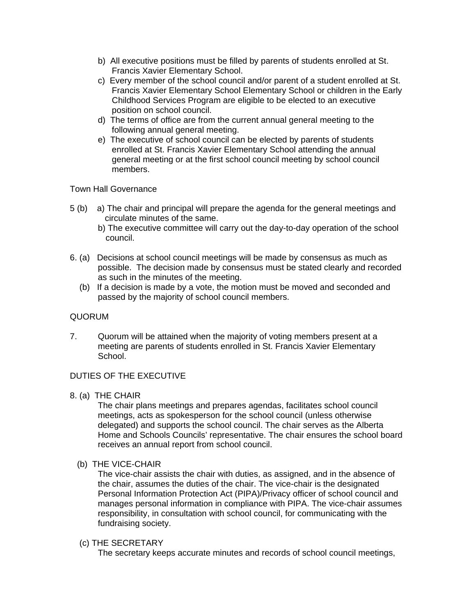- b) All executive positions must be filled by parents of students enrolled at St. Francis Xavier Elementary School.
- c) Every member of the school council and/or parent of a student enrolled at St. Francis Xavier Elementary School Elementary School or children in the Early Childhood Services Program are eligible to be elected to an executive position on school council.
- d) The terms of office are from the current annual general meeting to the following annual general meeting.
- e) The executive of school council can be elected by parents of students enrolled at St. Francis Xavier Elementary School attending the annual general meeting or at the first school council meeting by school council members.

Town Hall Governance

- 5 (b) a) The chair and principal will prepare the agenda for the general meetings and circulate minutes of the same.
	- b) The executive committee will carry out the day-to-day operation of the school council.
- 6. (a) Decisions at school council meetings will be made by consensus as much as possible. The decision made by consensus must be stated clearly and recorded as such in the minutes of the meeting.
	- (b) If a decision is made by a vote, the motion must be moved and seconded and passed by the majority of school council members.

# QUORUM

7. Quorum will be attained when the majority of voting members present at a meeting are parents of students enrolled in St. Francis Xavier Elementary School.

#### DUTIES OF THE EXECUTIVE

8. (a) THE CHAIR

The chair plans meetings and prepares agendas, facilitates school council meetings, acts as spokesperson for the school council (unless otherwise delegated) and supports the school council. The chair serves as the Alberta Home and Schools Councils' representative. The chair ensures the school board receives an annual report from school council.

(b) THE VICE-CHAIR

The vice-chair assists the chair with duties, as assigned, and in the absence of the chair, assumes the duties of the chair. The vice-chair is the designated Personal Information Protection Act (PIPA)/Privacy officer of school council and manages personal information in compliance with PIPA. The vice-chair assumes responsibility, in consultation with school council, for communicating with the fundraising society.

#### (c) THE SECRETARY

The secretary keeps accurate minutes and records of school council meetings,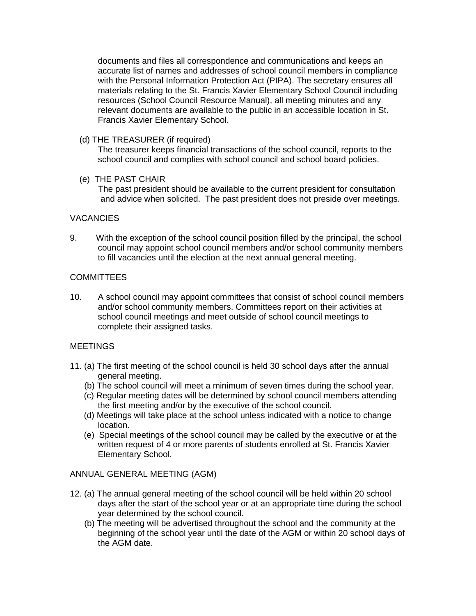documents and files all correspondence and communications and keeps an accurate list of names and addresses of school council members in compliance with the Personal Information Protection Act (PIPA). The secretary ensures all materials relating to the St. Francis Xavier Elementary School Council including resources (School Council Resource Manual), all meeting minutes and any relevant documents are available to the public in an accessible location in St. Francis Xavier Elementary School.

(d) THE TREASURER (if required)

The treasurer keeps financial transactions of the school council, reports to the school council and complies with school council and school board policies.

(e) THE PAST CHAIR

 The past president should be available to the current president for consultation and advice when solicited. The past president does not preside over meetings.

# **VACANCIES**

9. With the exception of the school council position filled by the principal, the school council may appoint school council members and/or school community members to fill vacancies until the election at the next annual general meeting.

# **COMMITTEES**

10. A school council may appoint committees that consist of school council members and/or school community members. Committees report on their activities at school council meetings and meet outside of school council meetings to complete their assigned tasks.

# **MEETINGS**

- 11. (a) The first meeting of the school council is held 30 school days after the annual general meeting.
	- (b) The school council will meet a minimum of seven times during the school year.
	- (c) Regular meeting dates will be determined by school council members attending the first meeting and/or by the executive of the school council.
	- (d) Meetings will take place at the school unless indicated with a notice to change location.
	- (e) Special meetings of the school council may be called by the executive or at the written request of 4 or more parents of students enrolled at St. Francis Xavier Elementary School.

# ANNUAL GENERAL MEETING (AGM)

- 12. (a) The annual general meeting of the school council will be held within 20 school days after the start of the school year or at an appropriate time during the school year determined by the school council.
	- (b) The meeting will be advertised throughout the school and the community at the beginning of the school year until the date of the AGM or within 20 school days of the AGM date.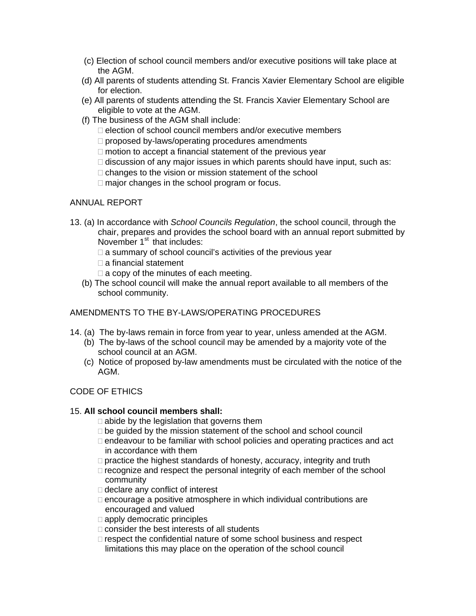- (c) Election of school council members and/or executive positions will take place at the AGM.
- (d) All parents of students attending St. Francis Xavier Elementary School are eligible for election.
- (e) All parents of students attending the St. Francis Xavier Elementary School are eligible to vote at the AGM.
- (f) The business of the AGM shall include:
	- $\Box$  election of school council members and/or executive members
	- $\Box$  proposed by-laws/operating procedures amendments
	- $\Box$  motion to accept a financial statement of the previous year
	- $\Box$  discussion of any major issues in which parents should have input, such as:
	- $\Box$  changes to the vision or mission statement of the school
	- $\Box$  major changes in the school program or focus.

# ANNUAL REPORT

- 13. (a) In accordance with *School Councils Regulation*, the school council, through the chair, prepares and provides the school board with an annual report submitted by November  $1<sup>st</sup>$  that includes:
	- $\Box$  a summary of school council's activities of the previous year
	- $\Box$  a financial statement
	- $\Box$  a copy of the minutes of each meeting.
	- (b) The school council will make the annual report available to all members of the school community.

# AMENDMENTS TO THE BY-LAWS/OPERATING PROCEDURES

- 14. (a) The by-laws remain in force from year to year, unless amended at the AGM.
	- (b) The by-laws of the school council may be amended by a majority vote of the school council at an AGM.
	- (c) Notice of proposed by-law amendments must be circulated with the notice of the AGM.

# CODE OF ETHICS

# 15. **All school council members shall:**

 $\Box$  abide by the legislation that governs them

- $\Box$  be guided by the mission statement of the school and school council
- $\Box$  endeavour to be familiar with school policies and operating practices and act in accordance with them
- □ practice the highest standards of honesty, accuracy, integrity and truth
- $\Box$  recognize and respect the personal integrity of each member of the school community
- □ declare any conflict of interest
- $\Box$  encourage a positive atmosphere in which individual contributions are encouraged and valued
- $\Box$  apply democratic principles
- $\Box$  consider the best interests of all students
- $\Box$  respect the confidential nature of some school business and respect limitations this may place on the operation of the school council